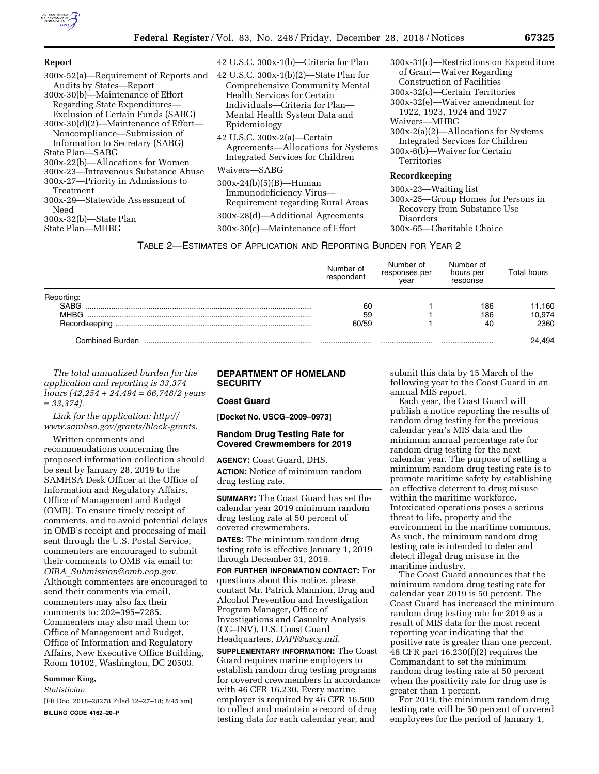

| <b>Report</b>                                                                                                                                                                                                                                                                                                                                                                                                                                                                                                                     | 42 U.S.C. 300x-1(b)—Criteria for Plan                                                                                                                                                                                                                                                                 | $300x-31(c)$ -Restrictions on Expenditure                                                                                                                                                                                                                                                                  |  |  |  |  |
|-----------------------------------------------------------------------------------------------------------------------------------------------------------------------------------------------------------------------------------------------------------------------------------------------------------------------------------------------------------------------------------------------------------------------------------------------------------------------------------------------------------------------------------|-------------------------------------------------------------------------------------------------------------------------------------------------------------------------------------------------------------------------------------------------------------------------------------------------------|------------------------------------------------------------------------------------------------------------------------------------------------------------------------------------------------------------------------------------------------------------------------------------------------------------|--|--|--|--|
| 300x-52(a)-Requirement of Reports and<br>Audits by States-Report<br>300x-30(b)—Maintenance of Effort<br>Regarding State Expenditures—<br>Exclusion of Certain Funds (SABG)<br>$300x-30(d)(2)$ —Maintenance of Effort—<br>Noncompliance—Submission of<br>Information to Secretary (SABG)<br>State Plan—SABG<br>300x-22(b)—Allocations for Women<br>300x-23—Intravenous Substance Abuse<br>300x-27—Priority in Admissions to<br>Treatment<br>300x-29-Statewide Assessment of<br>Need<br>$300x-32(b)$ -State Plan<br>State Plan-MHBG | 42 U.S.C. $300x-1(b)(2)$ —State Plan for<br>Comprehensive Community Mental<br>Health Services for Certain<br>Individuals—Criteria for Plan—<br>Mental Health System Data and<br>Epidemiology<br>42 U.S.C. 300x-2(a)—Certain<br>Agreements—Allocations for Systems<br>Integrated Services for Children | of Grant—Waiver Regarding<br>Construction of Facilities<br>300x-32(c)—Certain Territories<br>$300x-32(e)$ —Waiver amendment for<br>1922, 1923, 1924 and 1927<br>Waivers-MHBG<br>$300x-2(a)(2)$ —Allocations for Systems<br>Integrated Services for Children<br>300x-6(b)—Waiver for Certain<br>Territories |  |  |  |  |
|                                                                                                                                                                                                                                                                                                                                                                                                                                                                                                                                   | Waivers-SABG<br>$300x-24(b)(5)(B)$ —Human<br>Immunodeficiency Virus-<br>Requirement regarding Rural Areas<br>300x-28(d)-Additional Agreements<br>300x-30(c)—Maintenance of Effort                                                                                                                     | Recordkeeping<br>300x-23—Waiting list<br>300x-25—Group Homes for Persons in<br>Recovery from Substance Use<br>Disorders<br>300x-65—Charitable Choice                                                                                                                                                       |  |  |  |  |
| TABLE 2-ESTIMATES OF APPLICATION AND REPORTING BURDEN FOR YEAR 2                                                                                                                                                                                                                                                                                                                                                                                                                                                                  |                                                                                                                                                                                                                                                                                                       |                                                                                                                                                                                                                                                                                                            |  |  |  |  |

|                 | Number of<br>respondent | Number of<br>responses per<br>year | Number of<br>hours per<br>response | Total hours |
|-----------------|-------------------------|------------------------------------|------------------------------------|-------------|
| Reporting       |                         |                                    |                                    |             |
| SABG            | 60                      |                                    | 186                                | 11.160      |
| MHBG            | 59                      |                                    | 186                                | 10,974      |
| Recordkeeping   | 60/59                   |                                    | 40                                 | 2360        |
| Combined Burden |                         |                                    |                                    | 24.494      |

*The total annualized burden for the application and reporting is 33,374 hours (42,254 + 24,494 = 66,748/2 years = 33,374).* 

*Link for the application: [http://](http://www.samhsa.gov/grants/block-grants) [www.samhsa.gov/grants/block-grants.](http://www.samhsa.gov/grants/block-grants)* 

Written comments and recommendations concerning the proposed information collection should be sent by January 28, 2019 to the SAMHSA Desk Officer at the Office of Information and Regulatory Affairs, Office of Management and Budget (OMB). To ensure timely receipt of comments, and to avoid potential delays in OMB's receipt and processing of mail sent through the U.S. Postal Service, commenters are encouraged to submit their comments to OMB via email to: *OIRA*\_*[Submission@omb.eop.gov.](mailto:OIRA_Submission@omb.eop.gov)*  Although commenters are encouraged to send their comments via email, commenters may also fax their comments to: 202–395–7285. Commenters may also mail them to: Office of Management and Budget, Office of Information and Regulatory Affairs, New Executive Office Building, Room 10102, Washington, DC 20503.

# **Summer King,**

*Statistician.* 

[FR Doc. 2018–28278 Filed 12–27–18; 8:45 am] **BILLING CODE 4162–20–P** 

### **DEPARTMENT OF HOMELAND SECURITY**

#### **Coast Guard**

**[Docket No. USCG–2009–0973]** 

## **Random Drug Testing Rate for Covered Crewmembers for 2019**

**AGENCY:** Coast Guard, DHS. **ACTION:** Notice of minimum random drug testing rate.

**SUMMARY:** The Coast Guard has set the calendar year 2019 minimum random drug testing rate at 50 percent of covered crewmembers.

**DATES:** The minimum random drug testing rate is effective January 1, 2019 through December 31, 2019.

**FOR FURTHER INFORMATION CONTACT:** For questions about this notice, please contact Mr. Patrick Mannion, Drug and Alcohol Prevention and Investigation Program Manager, Office of Investigations and Casualty Analysis (CG–INV), U.S. Coast Guard Headquarters, *[DAPI@uscg.mil.](mailto:DAPI@uscg.mil)* 

**SUPPLEMENTARY INFORMATION:** The Coast Guard requires marine employers to establish random drug testing programs for covered crewmembers in accordance with 46 CFR 16.230. Every marine employer is required by 46 CFR 16.500 to collect and maintain a record of drug testing data for each calendar year, and

submit this data by 15 March of the following year to the Coast Guard in an annual MIS report.

Each year, the Coast Guard will publish a notice reporting the results of random drug testing for the previous calendar year's MIS data and the minimum annual percentage rate for random drug testing for the next calendar year. The purpose of setting a minimum random drug testing rate is to promote maritime safety by establishing an effective deterrent to drug misuse within the maritime workforce. Intoxicated operations poses a serious threat to life, property and the environment in the maritime commons. As such, the minimum random drug testing rate is intended to deter and detect illegal drug misuse in the maritime industry.

The Coast Guard announces that the minimum random drug testing rate for calendar year 2019 is 50 percent. The Coast Guard has increased the minimum random drug testing rate for 2019 as a result of MIS data for the most recent reporting year indicating that the positive rate is greater than one percent. 46 CFR part 16.230(f)(2) requires the Commandant to set the minimum random drug testing rate at 50 percent when the positivity rate for drug use is greater than 1 percent.

For 2019, the minimum random drug testing rate will be 50 percent of covered employees for the period of January 1,